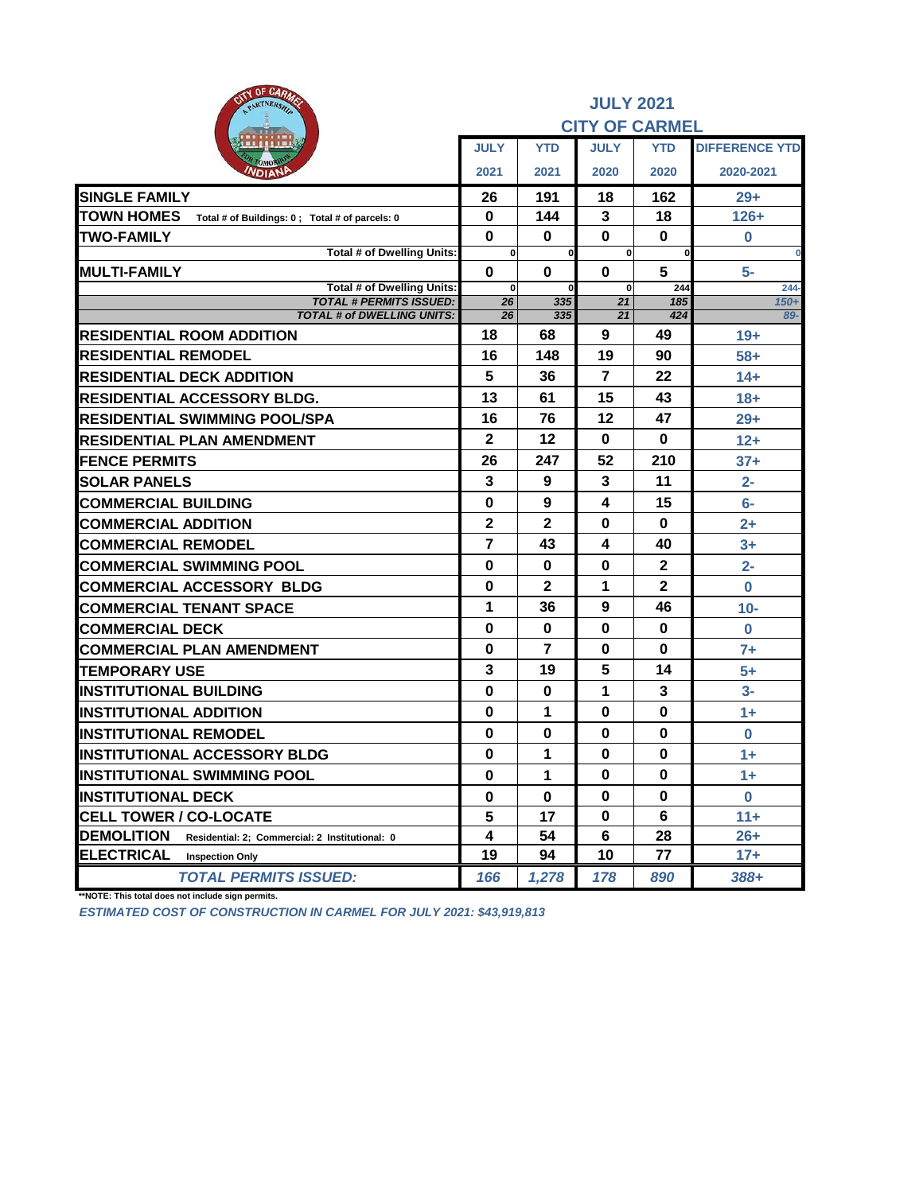| <b>AITY OF CARAZE</b><br>PARTNERSHIP                                |                          |                            | <b>JULY 2021</b><br><b>CITY OF CARMEL</b> |                |                       |
|---------------------------------------------------------------------|--------------------------|----------------------------|-------------------------------------------|----------------|-----------------------|
|                                                                     | <b>JULY</b>              | <b>YTD</b>                 | <b>JULY</b>                               | <b>YTD</b>     | <b>DIFFERENCE YTD</b> |
| <b>NDIANP</b>                                                       | 2021                     | 2021                       | 2020                                      | 2020           | 2020-2021             |
| <b>SINGLE FAMILY</b>                                                | 26                       | 191                        | 18                                        | 162            | $29+$                 |
| <b>TOWN HOMES</b><br>Total # of Buildings: 0; Total # of parcels: 0 | $\bf{0}$                 | 144                        | 3                                         | 18             | $126+$                |
| <b>TWO-FAMILY</b>                                                   | $\mathbf 0$              | $\bf{0}$                   | $\mathbf 0$                               | $\bf{0}$       | $\bf{0}$              |
| Total # of Dwelling Units:                                          | $\mathbf{0}$             | $\mathbf 0$                | $\mathbf{0}$                              | $\bf{0}$       | $\bf{0}$              |
| <b>MULTI-FAMILY</b><br>Total # of Dwelling Units:                   | $\bf{0}$<br>$\mathbf{0}$ | $\mathbf 0$<br>$\mathbf 0$ | $\bf{0}$<br>$\bf{0}$                      | 5<br>244       | $5-$<br>$244 -$       |
| <b>TOTAL # PERMITS ISSUED:</b>                                      | 26                       | 335                        | 21                                        | 185            | $150+$                |
| <b>TOTAL # of DWELLING UNITS:</b>                                   | 26                       | 335                        | 21                                        | 424            | 89-                   |
| <b>RESIDENTIAL ROOM ADDITION</b>                                    | 18                       | 68                         | 9                                         | 49             | $19+$                 |
| <b>RESIDENTIAL REMODEL</b>                                          | 16                       | 148                        | 19                                        | 90             | $58+$                 |
| <b>RESIDENTIAL DECK ADDITION</b>                                    | 5                        | 36                         | $\overline{7}$                            | 22             | $14+$                 |
| <b>RESIDENTIAL ACCESSORY BLDG.</b>                                  | 13                       | 61                         | 15                                        | 43             | $18 +$                |
| RESIDENTIAL SWIMMING POOL/SPA                                       | 16                       | 76                         | 12                                        | 47             | $29+$                 |
| <b>RESIDENTIAL PLAN AMENDMENT</b>                                   | $\mathbf{2}$             | 12                         | $\bf{0}$                                  | $\bf{0}$       | $12+$                 |
| <b>FENCE PERMITS</b>                                                | 26                       | 247                        | 52                                        | 210            | $37+$                 |
| <b>SOLAR PANELS</b>                                                 | 3                        | 9                          | 3                                         | 11             | $2-$                  |
| <b>COMMERCIAL BUILDING</b>                                          | $\bf{0}$                 | 9                          | 4                                         | 15             | $6-$                  |
| <b>COMMERCIAL ADDITION</b>                                          | $\mathbf{2}$             | $\mathbf{2}$               | 0                                         | 0              | $2+$                  |
| <b>COMMERCIAL REMODEL</b>                                           | $\overline{7}$           | 43                         | 4                                         | 40             | $3+$                  |
| <b>COMMERCIAL SWIMMING POOL</b>                                     | $\bf{0}$                 | 0                          | $\bf{0}$                                  | $\mathbf{2}$   | $2 -$                 |
| <b>COMMERCIAL ACCESSORY BLDG</b>                                    | $\bf{0}$                 | $\mathbf{2}$               | 1                                         | $\overline{2}$ | $\bf{0}$              |
| <b>COMMERCIAL TENANT SPACE</b>                                      | 1                        | 36                         | 9                                         | 46             | $10-$                 |
| <b>COMMERCIAL DECK</b>                                              | $\bf{0}$                 | $\bf{0}$                   | $\bf{0}$                                  | $\bf{0}$       | $\mathbf 0$           |
| <b>COMMERCIAL PLAN AMENDMENT</b>                                    | $\bf{0}$                 | $\overline{7}$             | $\bf{0}$                                  | $\bf{0}$       | $7+$                  |
| <b>TEMPORARY USE</b>                                                | 3                        | 19                         | 5                                         | 14             | $5+$                  |
| <b>INSTITUTIONAL BUILDING</b>                                       | $\bf{0}$                 | 0                          | 1                                         | 3              | $3-$                  |
| <b>INSTITUTIONAL ADDITION</b>                                       | $\bf{0}$                 | 1                          | $\bf{0}$                                  | $\bf{0}$       | $1+$                  |
| <b>INSTITUTIONAL REMODEL</b>                                        | $\bf{0}$                 | $\bf{0}$                   | 0                                         | $\bf{0}$       | $\bf{0}$              |
| <b>INSTITUTIONAL ACCESSORY BLDG</b>                                 | 0                        | 1                          | $\bf{0}$                                  | $\bf{0}$       | $1+$                  |
| <b>INSTITUTIONAL SWIMMING POOL</b>                                  | $\bf{0}$                 | 1                          | $\bf{0}$                                  | 0              | $1+$                  |
| <b>INSTITUTIONAL DECK</b>                                           | 0                        | $\bf{0}$                   | $\bf{0}$                                  | $\bf{0}$       | $\bf{0}$              |
| <b>CELL TOWER / CO-LOCATE</b>                                       | 5                        | 17                         | $\bf{0}$                                  | 6              | $11 +$                |
| <b>DEMOLITION</b><br>Residential: 2; Commercial: 2 Institutional: 0 | 4                        | 54                         | 6                                         | 28             | $26+$                 |
| <b>ELECTRICAL</b><br><b>Inspection Only</b>                         | 19                       | 94                         | 10                                        | 77             | $17+$                 |
| <b>TOTAL PERMITS ISSUED:</b>                                        | 166                      | 1,278                      | 178                                       | 890            | 388+                  |

**\*\*NOTE: This total does not include sign permits.**

*ESTIMATED COST OF CONSTRUCTION IN CARMEL FOR JULY 2021: \$43,919,813*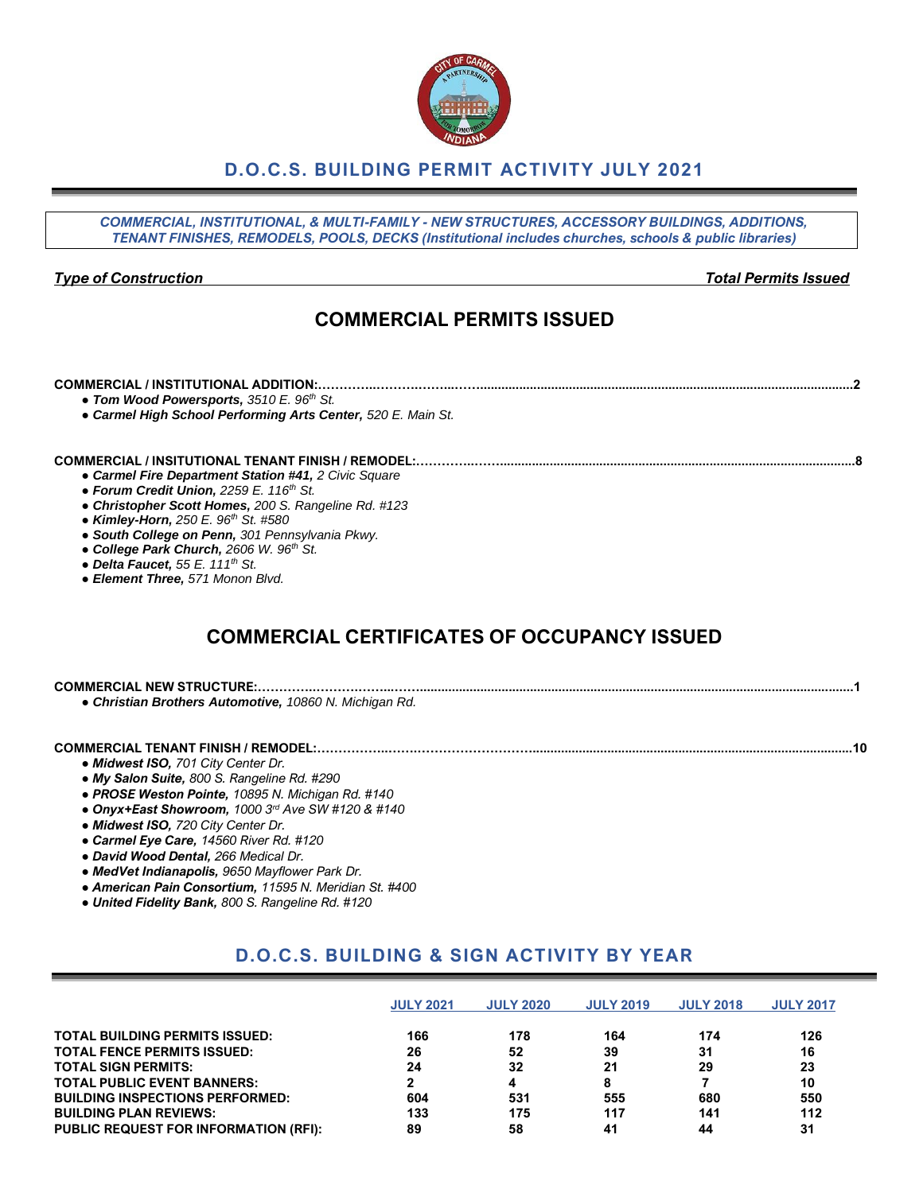# **D.O.C.S. BUILDING PERMIT ACTIVITY JULY 2021**

*COMMERCIAL, INSTITUTIONAL, & MULTI-FAMILY - NEW STRUCTURES, ACCESSORY BUILDINGS, ADDITIONS, TENANT FINISHES, REMODELS, POOLS, DECKS (Institutional includes churches, schools & public libraries)*

*Type of Construction Total Permits Issued*

# **COMMERCIAL PERMITS ISSUED**

#### **COMMERCIAL / INSTITUTIONAL ADDITION:…………..……….……...…….........................................................................................................2**

- *● Tom Wood Powersports, 3510 E. 96th St.*
- *● Carmel High School Performing Arts Center, 520 E. Main St.*

#### **COMMERCIAL / INSITUTIONAL TENANT FINISH / REMODEL:…………..……....................................................................................................8**

- *● Carmel Fire Department Station #41, 2 Civic Square*
- *● Forum Credit Union, 2259 E. 116th St.*
- *● Christopher Scott Homes, 200 S. Rangeline Rd. #123*
- *● Kimley-Horn, 250 E. 96th St. #580*
- *● South College on Penn, 301 Pennsylvania Pkwy.*
- *● College Park Church, 2606 W. 96th St.*
- *● Delta Faucet, 55 E. 111th St.*
- *● Element Three, 571 Monon Blvd.*

# **COMMERCIAL CERTIFICATES OF OCCUPANCY ISSUED**

| <b>COMMERCIAL NEW STRUCTURE</b> |  |
|---------------------------------|--|
|                                 |  |

*● Christian Brothers Automotive, 10860 N. Michigan Rd.*

# **COMMERCIAL TENANT FINISH / REMODEL:……………..…….………………………..........................................................................................10**

- *● Midwest ISO, 701 City Center Dr.*
- *● My Salon Suite, 800 S. Rangeline Rd. #290*
- *● PROSE Weston Pointe, 10895 N. Michigan Rd. #140*
- *● Onyx+East Showroom, 1000 3rd Ave SW #120 & #140*
- *● Midwest ISO, 720 City Center Dr.*
- *● Carmel Eye Care, 14560 River Rd. #120*
- *● David Wood Dental, 266 Medical Dr.*
- *● MedVet Indianapolis, 9650 Mayflower Park Dr.*
- *● American Pain Consortium, 11595 N. Meridian St. #400*
- *● United Fidelity Bank, 800 S. Rangeline Rd. #120*

# **D.O.C.S. BUILDING & SIGN ACTIVITY BY YEAR**

|                                              | <b>JULY 2021</b> | <b>JULY 2020</b> | <b>JULY 2019</b> | <b>JULY 2018</b> | <b>JULY 2017</b> |
|----------------------------------------------|------------------|------------------|------------------|------------------|------------------|
| <b>TOTAL BUILDING PERMITS ISSUED:</b>        | 166              | 178              | 164              | 174              | 126              |
| <b>TOTAL FENCE PERMITS ISSUED:</b>           | 26               | 52               | 39               | 31               | 16               |
| <b>TOTAL SIGN PERMITS:</b>                   | 24               | 32               | 21               | 29               | 23               |
| <b>TOTAL PUBLIC EVENT BANNERS:</b>           |                  | 4                |                  |                  | 10               |
| <b>BUILDING INSPECTIONS PERFORMED:</b>       | 604              | 531              | 555              | 680              | 550              |
| <b>BUILDING PLAN REVIEWS:</b>                | 133              | 175              | 117              | 141              | 112              |
| <b>PUBLIC REQUEST FOR INFORMATION (RFI):</b> | 89               | 58               | 41               | 44               | 31               |

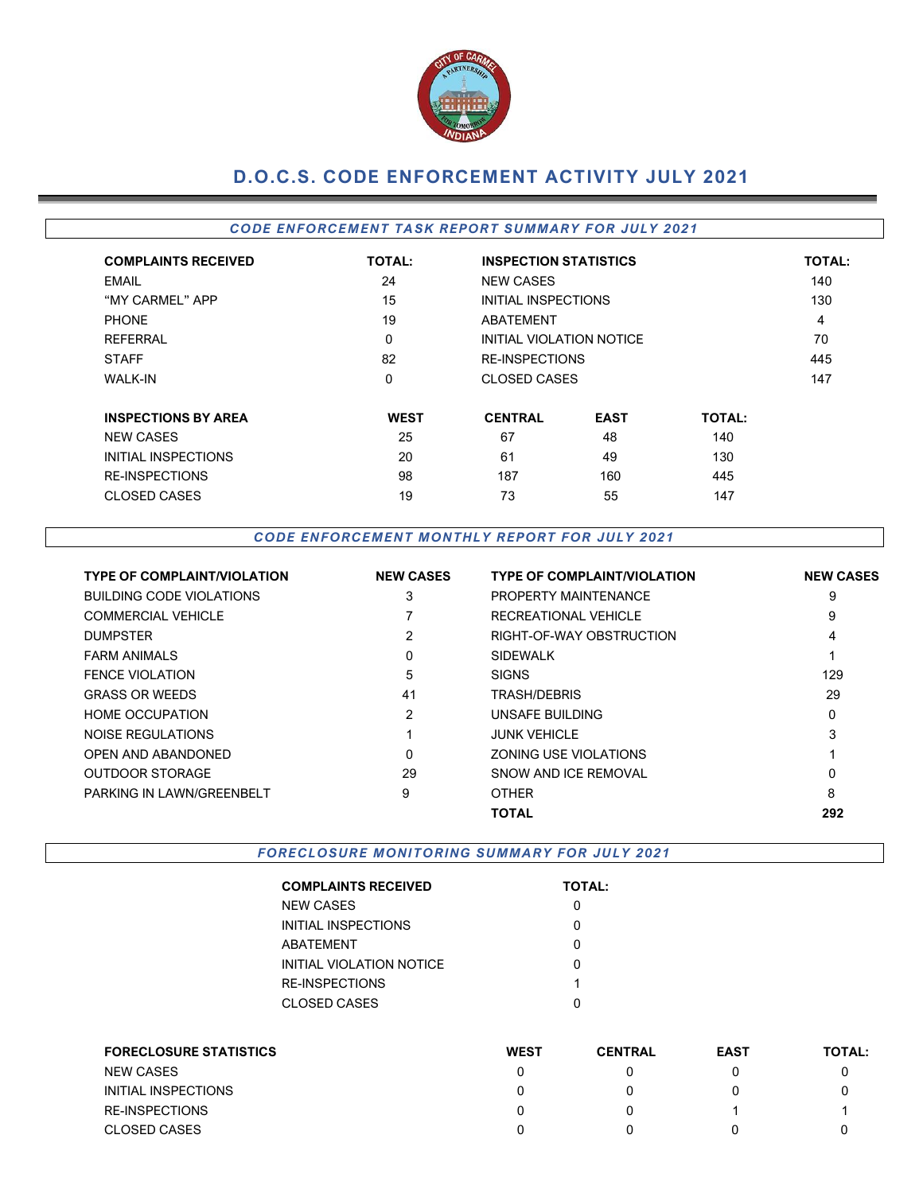

# **D.O.C.S. CODE ENFORCEMENT ACTIVITY JULY 2021**

# *CODE EN FORCEMEN T TA SK REPOR T SUMMARY FOR JULY 2021*

| <b>COMPLAINTS RECEIVED</b> | <b>TOTAL:</b> | <b>INSPECTION STATISTICS</b> |                       |               | <b>TOTAL:</b> |  |  |
|----------------------------|---------------|------------------------------|-----------------------|---------------|---------------|--|--|
| EMAIL                      | 24            | <b>NEW CASES</b>             |                       |               | 140           |  |  |
| "MY CARMEL" APP            | 15            | INITIAL INSPECTIONS          |                       |               | 130           |  |  |
| <b>PHONE</b>               | 19            | <b>ABATEMENT</b>             |                       |               | 4             |  |  |
| <b>REFERRAL</b>            | $\mathbf 0$   | INITIAL VIOLATION NOTICE     |                       |               | 70            |  |  |
| <b>STAFF</b>               | 82            |                              | <b>RE-INSPECTIONS</b> |               |               |  |  |
| <b>WALK-IN</b>             | 0             | CLOSED CASES                 |                       |               | 147           |  |  |
| <b>INSPECTIONS BY AREA</b> | <b>WEST</b>   | <b>CENTRAL</b>               | <b>EAST</b>           | <b>TOTAL:</b> |               |  |  |
| <b>NEW CASES</b>           | 25            | 67                           | 48                    | 140           |               |  |  |
| INITIAL INSPECTIONS        | 20            | 61                           | 49                    | 130           |               |  |  |
| <b>RE-INSPECTIONS</b>      | 98            | 187                          | 160                   | 445           |               |  |  |
| <b>CLOSED CASES</b>        | 19            | 73                           | 55                    | 147           |               |  |  |

### *CODE EN FORCEM EN T M ONTHLY R EPORT FOR JULY 2021*

| <b>TYPE OF COMPLAINT/VIOLATION</b> | <b>NEW CASES</b> | <b>TYPE OF COMPLAINT/VIOLATION</b> | <b>NEW CASES</b> |
|------------------------------------|------------------|------------------------------------|------------------|
| <b>BUILDING CODE VIOLATIONS</b>    | 3                | PROPERTY MAINTENANCE               | 9                |
| <b>COMMERCIAL VEHICLE</b>          |                  | RECREATIONAL VEHICLE               | 9                |
| <b>DUMPSTER</b>                    | 2                | RIGHT-OF-WAY OBSTRUCTION           | 4                |
| <b>FARM ANIMALS</b>                | 0                | <b>SIDEWALK</b>                    |                  |
| <b>FENCE VIOLATION</b>             | 5                | <b>SIGNS</b>                       | 129              |
| <b>GRASS OR WEEDS</b>              | 41               | <b>TRASH/DEBRIS</b>                | 29               |
| <b>HOME OCCUPATION</b>             | 2                | UNSAFE BUILDING                    | 0                |
| NOISE REGULATIONS                  |                  | <b>JUNK VEHICLE</b>                | 3                |
| OPEN AND ABANDONED                 | 0                | ZONING USE VIOLATIONS              |                  |
| <b>OUTDOOR STORAGE</b>             | 29               | SNOW AND ICE REMOVAL               | 0                |
| PARKING IN LAWN/GREENBELT          | 9                | <b>OTHER</b>                       | 8                |
|                                    |                  | <b>TOTAL</b>                       | 292              |

**FORECLOSURE MONITORING SUMMARY FOR JULY 2021** 

| <b>COMPLAINTS RECEIVED</b> | <b>TOTAL:</b> |
|----------------------------|---------------|
| <b>NEW CASES</b>           |               |
| INITIAL INSPECTIONS        |               |
| ABATEMENT                  | ი             |
| INITIAL VIOLATION NOTICE   | O             |
| RE-INSPECTIONS             | 1             |
| CLOSED CASES               |               |

| <b>FORECLOSURE STATISTICS</b> | <b>WEST</b> | <b>CENTRAL</b> | <b>EAST</b> | <b>TOTAL:</b> |
|-------------------------------|-------------|----------------|-------------|---------------|
| <b>NEW CASES</b>              |             |                |             |               |
| INITIAL INSPECTIONS           |             |                |             |               |
| <b>RE-INSPECTIONS</b>         |             |                |             |               |
| <b>CLOSED CASES</b>           |             |                |             |               |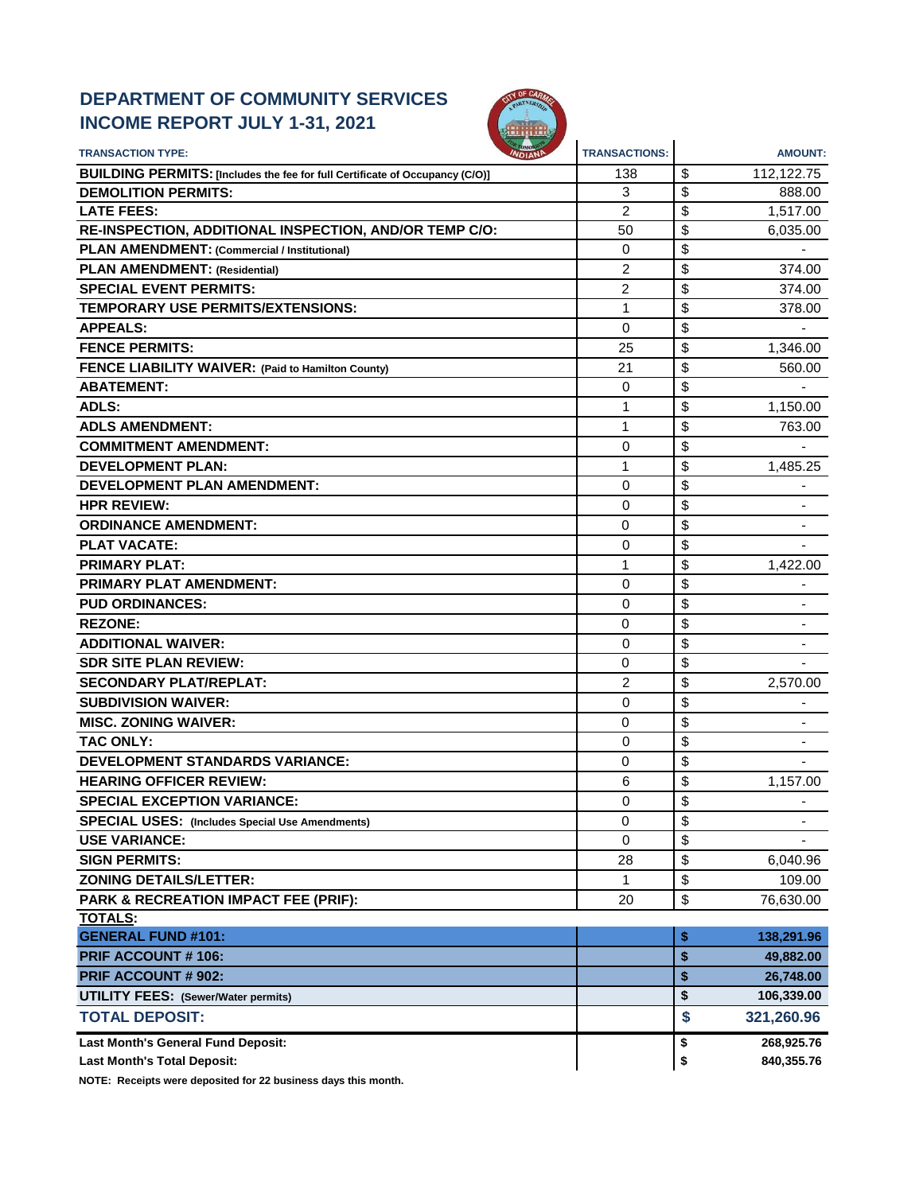# **DEPARTMENT OF COMMUNITY SERVICES INCOME REPORT JULY 1-31, 2021**



| <b>TRANSACTION TYPE:</b>                                                     | <b>TRANSACTIONS:</b> | <b>AMOUNT:</b>                 |
|------------------------------------------------------------------------------|----------------------|--------------------------------|
| BUILDING PERMITS: [Includes the fee for full Certificate of Occupancy (C/O)] | 138                  | \$<br>112,122.75               |
| <b>DEMOLITION PERMITS:</b>                                                   | 3                    | \$<br>888.00                   |
| <b>LATE FEES:</b>                                                            | 2                    | \$<br>1,517.00                 |
| RE-INSPECTION, ADDITIONAL INSPECTION, AND/OR TEMP C/O:                       | 50                   | \$<br>6,035.00                 |
| PLAN AMENDMENT: (Commercial / Institutional)                                 | $\mathbf 0$          | \$                             |
| <b>PLAN AMENDMENT: (Residential)</b>                                         | 2                    | \$<br>374.00                   |
| <b>SPECIAL EVENT PERMITS:</b>                                                | 2                    | \$<br>374.00                   |
| TEMPORARY USE PERMITS/EXTENSIONS:                                            | 1                    | \$<br>378.00                   |
| <b>APPEALS:</b>                                                              | 0                    | \$                             |
| <b>FENCE PERMITS:</b>                                                        | 25                   | \$<br>1,346.00                 |
| FENCE LIABILITY WAIVER: (Paid to Hamilton County)                            | 21                   | \$<br>560.00                   |
| <b>ABATEMENT:</b>                                                            | 0                    | \$                             |
| <b>ADLS:</b>                                                                 | 1                    | \$<br>1,150.00                 |
| <b>ADLS AMENDMENT:</b>                                                       | 1                    | \$<br>763.00                   |
| <b>COMMITMENT AMENDMENT:</b>                                                 | 0                    | \$                             |
| <b>DEVELOPMENT PLAN:</b>                                                     | 1                    | \$<br>1,485.25                 |
| <b>DEVELOPMENT PLAN AMENDMENT:</b>                                           | 0                    | \$                             |
| <b>HPR REVIEW:</b>                                                           | 0                    | \$                             |
| <b>ORDINANCE AMENDMENT:</b>                                                  | $\mathbf 0$          | \$                             |
| <b>PLAT VACATE:</b>                                                          | 0                    | \$                             |
| <b>PRIMARY PLAT:</b>                                                         | 1                    | \$<br>1,422.00                 |
| PRIMARY PLAT AMENDMENT:                                                      | 0                    | \$                             |
| <b>PUD ORDINANCES:</b>                                                       | 0                    | \$                             |
| <b>REZONE:</b>                                                               | 0                    | \$                             |
| <b>ADDITIONAL WAIVER:</b>                                                    | 0                    | \$                             |
| <b>SDR SITE PLAN REVIEW:</b>                                                 | 0                    | \$                             |
| <b>SECONDARY PLAT/REPLAT:</b>                                                | $\overline{c}$       | \$<br>2,570.00                 |
| <b>SUBDIVISION WAIVER:</b>                                                   | 0                    | \$                             |
| <b>MISC. ZONING WAIVER:</b>                                                  | 0                    | \$                             |
| <b>TAC ONLY:</b>                                                             | 0                    | \$                             |
| <b>DEVELOPMENT STANDARDS VARIANCE:</b>                                       | $\mathbf 0$          | \$                             |
| <b>HEARING OFFICER REVIEW:</b>                                               | 6                    | \$<br>1,157.00                 |
| <b>SPECIAL EXCEPTION VARIANCE:</b>                                           | 0                    | \$                             |
| <b>SPECIAL USES:</b> (Includes Special Use Amendments)                       | 0                    | \$<br>$\overline{\phantom{a}}$ |
| <b>USE VARIANCE:</b>                                                         | 0                    | \$                             |
| <b>SIGN PERMITS:</b>                                                         | 28                   | \$<br>6,040.96                 |
| <b>ZONING DETAILS/LETTER:</b>                                                | 1                    | \$<br>109.00                   |
| PARK & RECREATION IMPACT FEE (PRIF):                                         | 20                   | \$<br>76,630.00                |
| <b>TOTALS:</b>                                                               |                      |                                |
| <b>GENERAL FUND #101:</b>                                                    |                      | \$<br>138,291.96               |
| <b>PRIF ACCOUNT #106:</b>                                                    |                      | \$<br>49,882.00                |
| <b>PRIF ACCOUNT # 902:</b>                                                   |                      | \$<br>26,748.00                |
| <b>UTILITY FEES: (Sewer/Water permits)</b>                                   |                      | \$<br>106,339.00               |
| <b>TOTAL DEPOSIT:</b>                                                        |                      | \$<br>321,260.96               |
| Last Month's General Fund Deposit:                                           |                      | 268,925.76<br>\$               |
| <b>Last Month's Total Deposit:</b>                                           |                      | \$<br>840,355.76               |

**NOTE: Receipts were deposited for 22 business days this month.**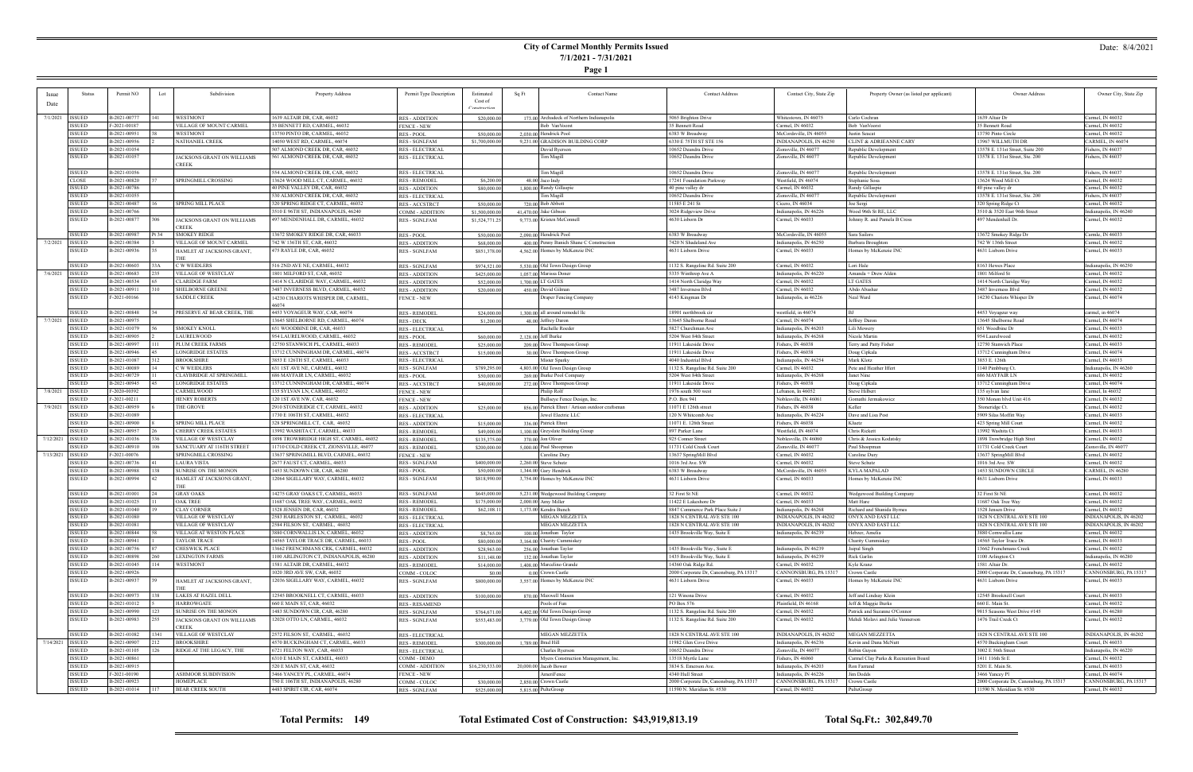# **City of Carmel Monthly Permits Issued 7/1/2021 - 7/31/2021**

**Page 1**

## Date: 8/4/2021

|                    | <b>Status</b>                  | Permit NO                    | Lot  | Subdivision                                      | Property Address                                                               | Permit Type Description                         | Estimated       | <b>Contact Name</b><br>Sq Ft                     | <b>Contact Address</b>                                         | Contact City, State Zip                                                  | Property Owner (as listed per applicant) | Owner Address                                    | Owner City, State Zip                      |
|--------------------|--------------------------------|------------------------------|------|--------------------------------------------------|--------------------------------------------------------------------------------|-------------------------------------------------|-----------------|--------------------------------------------------|----------------------------------------------------------------|--------------------------------------------------------------------------|------------------------------------------|--------------------------------------------------|--------------------------------------------|
| <i>ssue</i>        |                                |                              |      |                                                  |                                                                                |                                                 | Cost of         |                                                  |                                                                |                                                                          |                                          |                                                  |                                            |
| Date               |                                |                              |      |                                                  |                                                                                |                                                 | Construction    |                                                  |                                                                |                                                                          |                                          |                                                  |                                            |
| 7/1/2021           | ISSUED                         | B-2021-00777                 |      | <b>WESTMONT</b>                                  | 1639 ALTAIR DR, CAR, 46032                                                     | <b>RES - ADDITION</b>                           | \$20,000.00     | 173,00 Archadeck of Northern Indianapolis        | 5065 Brighton Drive                                            | Whitestown, IN 46075                                                     | Carlo Cochran                            | 1639 Altair Dr                                   | Carmel, IN 46032                           |
|                    | ISSUED                         | F-2021-00187                 |      | VILLAGE OF MOUNT CARMEL                          | 35 BENNETT RD, CARMEL, 46032                                                   | <b>FENCE - NEW</b>                              |                 | Bob VanVoorst                                    | 35 Bennett Road                                                | Carmel, IN 46032                                                         | Bob VanVoorst                            | 35 Bennett Road                                  | Carmel, IN 46032                           |
|                    | <b>ISSUED</b>                  | B-2021-00951                 |      | WESTMONT                                         | 13750 PINTO DR, CARMEL, 46032                                                  | <b>RES - POOL</b>                               | \$50,000.00     | 2,030.00 Hendrick Pool                           | 6383 W Broadway                                                | McCordsville, IN 46055                                                   | Justin Seacat                            | 13750 Pinto Circle                               | Carmel, IN 46032                           |
|                    | <b>ISSUED</b>                  | B-2021-00956                 |      | NATHANIEL CREEK                                  | 14050 WEST RD, CARMEL, 46074                                                   | <b>RES - SGNLFAM</b>                            | \$1,700,000.00  | 9,231.00 GRADISON BUILDING CORP                  | 5330 E 75TH ST STE 156                                         | INDIANAPOLIS, IN 46250                                                   | <b>CLINT &amp; ADRIEANNE CARY</b>        | 13967 WILLMUTH DR                                | CARMEL, IN 46074                           |
|                    | <b>ISSUED</b>                  | B-2021-01054                 |      |                                                  | 507 ALMOND CREEK DR, CAR, 46032                                                | <b>RES - ELECTRICAL</b>                         |                 | David Ryersor                                    | 10652 Deandra Drive                                            | Zionsville, IN 46077                                                     | Republic Development                     | 13578 E. 131st Street, Suite 200                 | ishers, IN 46037                           |
|                    | <b>ISSUED</b>                  | B-2021-01057                 |      | JACKSONS GRANT ON WILLIAMS<br><b>CREEK</b>       | 561 ALMOND CREEK DR, CAR, 46032                                                | <b>RES - ELECTRICAL</b>                         |                 | Tim Magill                                       | 10652 Deandra Drive                                            | Zionsville, IN 46077                                                     | Republic Development                     | 13578 E. 131st Street, Ste. 200                  | Fishers, IN 46037                          |
|                    | ISSUED                         | B-2021-01056                 |      |                                                  | 554 ALMOND CREEK DR, CAR, 46032                                                | <b>RES - ELECTRICAL</b>                         |                 | Tim Magill                                       | 10652 Deandra Drive                                            | Zionsville, IN 46077                                                     | Republic Development                     | 13578 E. 131st Street, Ste. 200                  | Fishers, IN 46037                          |
|                    | <b>CLOSE</b>                   | B-2021-00820                 |      | SPRINGMILL CROSSING                              | 13624 WOOD MILL CT, CARMEL, 46032                                              | <b>RES - REMODEL</b>                            | \$6,200.00      | $48.00$ Jaco Indy                                | 17241 Foundation Parkway                                       | Westfield, IN 46074                                                      | Stephanie Sosa                           | 13624 Wood Mill Ct                               | Carmel, IN 46032                           |
|                    | <b>ISSUED</b>                  | B-2021-00786                 |      |                                                  | 40 PINE VALLEY DR, CAR, 46032                                                  | <b>RES - ADDITION</b>                           | \$80,000.00     | 1,800,00 Randy Gillaspie                         | 40 pine valley dr                                              | Carmel, IN 46032                                                         | Randy Gillaspie                          | 40 pine valley dr                                | Carmel, IN 46032                           |
|                    | <b>ISSUED</b>                  | B-2021-01055                 |      |                                                  | 530 ALMOND CREEK DR, CAR, 46032                                                | <b>RES - ELECTRICAL</b>                         |                 | <b>Tim Magill</b>                                | 10652 Deandra Drive                                            | Zionsville, IN 46077                                                     | Republic Development                     | 13578 E. 131st Street, Ste. 200                  | ishers, IN 46037                           |
|                    | ISSUED                         | B-2021-00487                 |      | <b>SPRING MILL PLACE</b>                         | 320 SPRING RIDGE CT, CARMEL, 46032                                             | <b>RES-ACCSTRCT</b>                             | \$50,000.00     | 720.00 Bob Abbott                                | 11585 E 241 St                                                 | Cicero, IN 46034                                                         | Joe Sergi                                | 320 Spring Ridge Ct                              | Carmel, IN 46032                           |
|                    | <b>ISSUED</b>                  | B-2021-00766                 |      |                                                  | 3510 E 96TH ST, INDIANAPOLIS, 46240                                            | COMM - ADDITION                                 | \$1,500,000.00  | 41.470.00 Jake Gibson                            | 3024 Ridgeview Drive                                           | Indianapolis, IN 46226                                                   | Wood 96th St RE, LLC                     | 3510 & 3520 East 96th Street                     | ndianapolis, IN 46240                      |
|                    | <b>ISSUED</b>                  | B-2021-00877                 |      | JACKSONS GRANT ON WILLIAMS<br><b>REEK</b>        | 497 MENDENHALL DR, CARMEL, 46032                                               | <b>RES - SGNLFAM</b>                            | \$1,524,771.25  | 9,773.00 Kristen McConnell                       | 4630 Lisborn Dr                                                | Carmel, IN 46033                                                         | Johnny R. and Pamela B Cross             | 497 Mendenhall Dr.                               | Carmel, IN 46032                           |
|                    | <b>ISSUED</b>                  | B-2021-00987                 | ካ 34 | <b>SMOKEY RIDGE</b>                              | 13672 SMOKEY RIDGE DR, CAR, 46033                                              | <b>RES - POOL</b>                               | \$50,000.00     | 2,090,00 Hendrick Pool                           | 5383 W Broadway                                                | McCordsville, IN 46055                                                   | Sara Sailors                             | 13672 Smokey Ridge Dr                            | Carmle, IN 46033                           |
| 7/2/2021           | <b>ISSUED</b>                  | B-2021-00384                 |      | VILLAGE OF MOUNT CARMEL                          | 742 W 136TH ST, CAR, 46032                                                     | <b>RES - ADDITION</b>                           | \$68,000.00     | 400.00 Penny Banich Shane C Construction         | 7420 N Shadeland Ave                                           | Indianapolis, IN 46250                                                   | Barbara Broughton                        | 742 W 136th Stree                                | Carmel, IN 46032                           |
|                    | ISSUED                         | B-2021-00936                 |      | HAMLET AT JACKSONS GRANT,                        | 475 RAYLE DR, CAR, 46032                                                       | <b>RES - SGNLFAM</b>                            | \$851,378.00    | 4,562.00 Homes by McKenzie INC                   | 4631 Lisborn Drive                                             | Carmel, IN 46033                                                         | Homes by McKenzie INC                    | 4631 Lisborn Drive                               | Carmel, IN 46033                           |
|                    |                                |                              |      |                                                  |                                                                                |                                                 |                 |                                                  |                                                                |                                                                          |                                          |                                                  |                                            |
|                    | ISSUED                         | B-2021-00603                 |      | C W WEIDLERS                                     | 516 2ND AVE NE, CARMEL, 46032                                                  | <b>RES - SGNLFAM</b>                            | \$974,521.00    | 5,530.00 Old Town Design Group                   | 1132 S. Rangeline Rd. Suite 200                                | Carmel, IN 46032                                                         | Lori Hale                                | 8163 Hewes Place                                 | Indianapolis, IN 46250                     |
| 7/6/2021           | <b>ISSUED</b>                  | B-2021-00683                 |      | VILLAGE OF WESTCLAY                              | 1801 MILFORD ST, CAR, 46032                                                    | <b>RES - ADDITION</b>                           | \$425,000.00    | 1,057,00 Marissa Doner                           | 5335 Winthrop Ave A                                            | Indianapolis, IN 46220                                                   | Amanda + Drew Alden                      | 1801 Milford St                                  | Carmel, IN 46032                           |
|                    | ISSUED                         | B-2021-00534                 |      | <b>CLARIDGE FARM</b>                             | 1414 N CLARIDGE WAY, CARMEL, 46032                                             | <b>RES - ADDITION</b>                           | \$52,000.00     | 1,700,00 LT GATES                                | 1414 North Claridge Way                                        | Carmel, IN 46032                                                         | LT GATES                                 | 1414 North Claridge Way                          | Carmel, IN 46032                           |
|                    | <b>ISSUED</b><br>ISSUED        | B-2021-00911<br>F-2021-00166 |      | <b>SHELBORNE GREENE</b><br><b>SADDLE CREEK</b>   | 3487 INVERNESS BLVD, CARMEL, 46032                                             | <b>RES - ADDITION</b>                           | \$20,000.00     | 450.00 David Gilman                              | 3487 Inverness Blvd                                            | Carmel, IN 46032<br>Indianapolis, in 46226                               | Abdo Abasha<br>Neal Ward                 | 3487 Inverness Blvd<br>14230 Chariots Whisper Dr | Carmel, IN 46032<br>Carmel, IN 46074       |
|                    |                                |                              |      |                                                  | 14230 CHARIOTS WHISPER DR, CARMEL                                              | <b>FENCE - NEW</b>                              |                 | Draper Fencing Company                           | 4143 Kingman Dr                                                |                                                                          |                                          |                                                  |                                            |
|                    | ISSUED                         | B-2021-00848                 |      | PRESERVE AT BEAR CREEK, THE                      | 4453 VOYAGEUR WAY, CAR, 46074                                                  | <b>RES - REMODEL</b>                            | \$24,000.00     | 1,300.00 all around remodel llc                  | 18901 northbrook cir                                           | westfield, in 46074                                                      | I RI                                     | 4453 Voyageur way                                | carmel, in 46074                           |
| 7/7/2021           | <b>ISSUED</b>                  | B-2021-00975                 |      |                                                  | 13645 SHELBORNE RD, CARMEL, 46074                                              | RES - DECK                                      | \$1,200.00      | 48.00 Jeffrey Daron                              | 13645 Shelborne Road                                           | Carmel, IN 46074                                                         | Jeffrey Daron                            | 13645 Shelborne Road                             | Carmel, IN 46074                           |
|                    | ISSUED                         | B-2021-01079                 |      | <b>SMOKEY KNOLL</b>                              | 651 WOODBINE DR, CAR, 46033                                                    | <b>RES - ELECTRICAL</b>                         |                 | Rachelle Roeder                                  | 5827 Churchman Ave                                             | Indianapolis, IN 46203                                                   | Lili Mowery                              | 651 Woodbine Dr                                  | Carmel, IN 46033                           |
|                    | ISSUED                         | B-2021-00905                 |      | LAURELWOOD                                       | 954 LAURELWOOD, CARMEL, 46032                                                  | <b>RES - POOL</b>                               | \$60,000.00     | 2,128.00 Jeff Burke                              | 5204 West 84th Street                                          | Indianapolis, IN 46268                                                   | Nicole Martin                            | 954 Laurelwood                                   | Carmel, IN 46032                           |
|                    | ISSUED                         | B-2021-00997                 |      | PLUM CREEK FARMS                                 | 12750 STANWICH PL. CARMEL, 46033                                               | <b>RES - REMODEL</b>                            | \$25,000.00     | 209.00 Dave Thompson Group                       | 11911 Lakeside Drive                                           | Fishers, IN 46038                                                        | Terry and Patty Fisher                   | 12750 Stanwich Place                             | Carmel, IN 46033                           |
|                    | <b>ISSUED</b><br><b>ISSUED</b> | B-2021-00946<br>B-2021-01087 |      | <b>LONGRIDGE ESTATES</b><br><b>BROOKSHIRE</b>    | 13712 CUNNINGHAM DR, CARMEL, 46074<br>3853 E 126TH ST, CARMEL, 46033           | <b>RES-ACCSTRCT</b>                             | \$15,000.00     | 30,00 Dave Thompson Group<br>Mister Sparky       | 11911 Lakeside Drive<br>4040 Industrial Blvd                   | Fishers, IN 46038<br>Indianapolis, IN 46254                              | Doug Cipkala<br>Mark Klotz               | 13712 Cunningham Drive<br>3853 E. 126th          | Carmel, IN 46074<br>Carmel, IN 46033       |
|                    | ISSUED                         | B-2021-00089                 |      | C W WEIDLERS                                     | 631 1ST AVE NE, CARMEL, 46032                                                  | <b>RES - ELECTRICAL</b><br><b>RES - SGNLFAM</b> | \$789,295.00    | 4,803.00 Old Town Design Group                   | 1132 S. Rangeline Rd. Suite 200                                | Carmel, IN 46032                                                         | Pete and Heather Iffert                  | 1140 Pimbburg Ct.                                | Indianapolis, IN 46260                     |
|                    | <b>ISSUED</b>                  | B-2021-00729                 |      | CLAYBRIDGE AT SPRINGMILI                         | 686 MAYFAIR LN, CARMEL, 46032                                                  | <b>RES - POOL</b>                               | \$50,000.00     | 269.00 Burke Pool Company                        | 5204 West 84th Stree                                           | Indianapolis, IN 46268                                                   | Janet Nine                               | 686 MAYFAIR LN                                   | Carmel, IN 46032                           |
|                    | <b>ISSUED</b>                  | B-2021-00945                 |      | <b>LONGRIDGE ESTATES</b>                         | 13712 CUNNINGHAM DR, CARMEL, 46074                                             | <b>RES-ACCSTRCT</b>                             | \$40,000.00     | 272.00 Dave Thompson Group                       | 11911 Lakeside Drive                                           | Fishers, IN 46038                                                        | Doug Cipkala                             | 13712 Cunningham Drive                           | Carmel, IN 46074                           |
| 7/8/2021           | ISSUED                         | F-2020-00392                 |      | CARMELWOOD                                       | 135 SYLVAN LN, CARMEL, 46032                                                   | <b>FENCE - NEW</b>                              |                 | Philip Rolf                                      | 1976 south 500 west                                            | Lebanon, In 46052                                                        | <b>Steve Hilbert</b>                     | 135 sylvan lane                                  | Carmel, In 46032                           |
|                    | ISSUED                         | F-2021-00211                 |      | <b>HENRY ROBERTS</b>                             | 120 1ST AVE NW, CAR, 46032                                                     | <b>FENCE - NEW</b>                              |                 | Bullseye Fence Design, Inc.                      | P.O. Box 941                                                   | Noblesville, IN 4606                                                     | Gomathi Jermakowicz                      | 350 Monon blvd Unit 416                          | Carmel, IN 46032                           |
| 7/9/2021           | <b>ISSUED</b>                  | B-2021-00959                 |      | THE GROVE                                        | 2910 STONERIDGE CT, CARMEL, 46032                                              | <b>RES - ADDITION</b>                           | \$25,000.00     | 856.00 Patrick Ehret / Artisan outdoor craftsman | 11071 E 126th street                                           | Fishers, IN 46038                                                        | <b>Keller</b>                            | Stoneridge Ct.                                   | Carmel, IN 46032                           |
|                    | ISSUED                         | B-2021-01089                 |      |                                                  | 1730 E 106TH ST, CARMEL, 46032                                                 | <b>RES - ELECTRICAL</b>                         |                 | Jewel Electric LLC                               | 120 N Whitcomb Ave                                             | Indianapolis, IN 46224                                                   | Dave and Lisa Post                       | 5909 Silas Moffitt Way                           | Carmel, IN 46033                           |
|                    | <b>ISSUED</b>                  | B-2021-00900                 |      | <b>SPRING MILL PLACE</b>                         | 328 SPRINGMILL CT, CAR, 46032                                                  | <b>RES - ADDITION</b>                           | \$15,000.00     | 336.00 Patrick Ehret                             | 11071 E. 126th Street                                          | Fishers, IN 46038                                                        | Kluetz                                   | 423 Spring Mill Court                            | Carmel, IN 46032                           |
|                    | <b>ISSUED</b>                  | B-2021-00957                 |      | CHERRY CREEK ESTATES                             | 13992 WASHITA CT, CARMEL, 46033                                                | <b>RES - REMODEI</b>                            | \$49,000.00     | 1,100.00 Greyslate Building Group                | 897 Parker Lane                                                | Westfield, IN 46074                                                      | Chris Rickett                            | 13992 Washita Ct                                 | Carmel, IN 46033                           |
| 7/12/2021          | <b>ISSUED</b>                  | B-2021-01036                 |      | VILLAGE OF WESTCLAY                              | 1898 TROWBRIDGE HIGH ST, CARMEL, 46032                                         | <b>RES - REMODEL</b>                            | \$135,375.00    | 370.00 Jon Oliver                                | 925 Conner Street                                              | Noblesville, IN 46060                                                    | Chris & Jessica Kodatsky                 | 1898 Trowbridge High Stret                       | Carmel, IN 46032                           |
| 7/13/2021          | SSUED<br><b>ISSUED</b>         | B-2021-00910<br>F-2021-00076 |      | SANCTUARY AT 116TH STREET<br>SPRINGMILL CROSSING | 11710 COLD CREEK CT, ZIONSVILLE, 46077<br>13637 SPRINGMILL BLVD, CARMEL, 46032 | <b>RES - REMODEL</b><br><b>FENCE - NEW</b>      | \$200,000.00    | 5,000.00 Paul Shoopman                           | 11731 Cold Creek Court                                         | Zionsville, IN 46077<br>Carmel, IN 46032                                 | Paul Shoopman<br>Caroline Dury           | 11731 Cold Creek Court                           | Zionsville, IN 46077<br>Carmel, IN 46032   |
|                    | ISSUED                         | B-2021-00736                 |      | <b>LAURA VISTA</b>                               | 2677 FAUST CT, CARMEL, 46033                                                   | <b>RES - SGNLFAM</b>                            | \$400,000.00    | Caroline Dury<br>2.260.00 Steve Schutz           | 13637 SpringMill Blvd<br>1016 3rd Ave. SW                      | Carmel, IN 46032                                                         | <b>Steve Schutz</b>                      | 13637 SpringMill Blvd<br>1016 3rd Ave. SW        | Carmel, IN 46032                           |
|                    | <b>ISSUED</b>                  | B-2021-00988                 |      | SUNRISE ON THE MONON                             | 1453 SUNDOWN CIR, CAR, 46280                                                   | <b>RES - POOL</b>                               | \$50,000.00     | 1,344.00 Gary Hendrick                           | 6383 W Broadway                                                | McCordsville, IN 46055                                                   | <b>KYLA MAPALAD</b>                      | 1453 SUNDOWN CIRCLE                              | CARMEL, IN 46280                           |
|                    | ISSUED                         | B-2021-00994                 |      | HAMLET AT JACKSONS GRANT,                        | 12064 SIGILLARY WAY, CARMEL, 46032                                             | <b>RES - SGNLFAM</b>                            | \$818,990.00    | 3,754.00 Homes by McKenzie INC                   | 4631 Lisborn Drive                                             | Carmel, IN 46033                                                         | Homes by McKenzie INC                    | 4631 Lisborn Drive                               | Carmel, IN 46033                           |
|                    |                                |                              |      | THE                                              |                                                                                |                                                 |                 |                                                  |                                                                |                                                                          |                                          |                                                  |                                            |
|                    | ISSUED                         | B-2021-01001                 |      | <b>GRAY OAKS</b>                                 | 14275 GRAY OAKS CT, CARMEL, 46033                                              | <b>RES - SGNLFAM</b>                            | \$645,000.00    | 5.231.00 Wedgewood Building Company              | 32 First St NE                                                 | Carmel, IN 46032                                                         | Wedgewood Building Company               | 32 First St NE                                   | Carmel, IN 46032                           |
|                    | <b>ISSUED</b>                  | B-2021-01025                 |      | <b>OAK TREE</b>                                  | 11687 OAK TREE WAY, CARMEL, 46032<br>1528 JENSEN DR. CAR. 46032                | <b>RES - REMODEI</b>                            | \$175,000.00    | 2,000.00 Amy Miller                              | 11422 E Lakeshore Dr                                           | Carmel, IN 46033                                                         | Matt Hare                                | 11687 Oak Tree Way                               | Carmel, IN 46032                           |
|                    | ISSUED<br>ISSUED               | B-2021-01040                 |      | <b>CLAY CORNER</b><br>VILLAGE OF WESTCLAY        | 2583 HARLESTON ST, CARMEL, 46032                                               | <b>RES - REMODEL</b>                            | \$62,108.1      | 1.173.00 Kendra Bunch<br>MEGAN MEZZETTA          | 8847 Commerce Park Place Suite J<br>1828 N CENTRAL AVE STE 100 | Indianapolis, IN 46268<br>  INDIANAPOLIS. IN 46202     ONYX AND EAST LLC | Richard and Shanida Byrnes               | 1528 Jensen Drive<br>1828 N CENTRAL AVE STE 100  | Carmel, IN 46032<br>INDIANAPOLIS, IN 46202 |
|                    | <b>ISSUED</b>                  | B-2021-01080<br>B-2021-01081 |      | VILLAGE OF WESTCLAY                              | 2584 FILSON ST, CARMEL, 46032                                                  | RES - ELECTRICAL<br><b>RES - ELECTRICAL</b>     |                 | MEGAN MEZZETTA                                   | 1828 N CENTRAL AVE STE 100                                     | INDIANAPOLIS, IN 46202                                                   | ONYX AND EAST LLC                        | 1828 N CENTRAL AVE STE 100                       | INDIANAPOLIS, IN 46202                     |
|                    | ISSUED                         | B-2021-00844                 |      | VILLAGE AT WESTON PLACE                          | 3880 CORNWALLIS LN, CARMEL, 46032                                              | <b>RES - ADDITION</b>                           | \$8,765.00      | 100.00 Jonathan Taylor                           | 1435 Brookville Way, Suite E                                   | Indianapolis, IN 46239                                                   | Hebzer, Amelia                           | 3880 Cornwallis Lane                             | Carmel, IN 46032                           |
|                    | <b>ISSUED</b>                  | B-2021-00941                 |      | TAYLOR TRACE                                     | 14565 TAYLOR TRACE DR, CARMEL, 46033                                           | RES - POOL                                      | \$80,000.00     | 3,164.00 Charity Cummiskey                       |                                                                |                                                                          | Charity Cummiskey                        | 14565 Taylor Trace Dr.                           | Carmel, IN 46033                           |
|                    | <b>ISSUED</b>                  | B-2021-00756                 |      | <b>CHESWICK PLACE</b>                            | 13662 FRENCHMANS CRK, CARMEL, 46032                                            | <b>RES - ADDITION</b>                           | \$28,963.00     | 256.00 Jonathan Taylor                           | 1435 Brookville Way., Suite E                                  | Indianapolis, IN 46239                                                   | Jaipal Singh                             | 13662 Frenchmans Creek                           | Carmel, IN 46032                           |
|                    | ISSUED                         | B-2021-00898                 |      | <b>LEXINGTON FARMS</b>                           | 1100 ARLINGTON CT, INDIANAPOLIS, 46280                                         | <b>RES - ADDITION</b>                           | \$11,148.00     | 132.00 Jonathan Taylor                           | 1435 Brookville Way, Suite E                                   | Indianapolis, IN 46239                                                   | Rick Garlin                              | 1100 Arlington Ct                                | Indianapolis, IN 46280                     |
|                    | ISSUED                         | B-2021-01045                 |      | <b>WESTMONT</b>                                  | 1581 ALTAIR DR, CARMEL, 46032                                                  | <b>RES - REMODEL</b>                            | \$14,000.00     | 1,408.00 Marcelino Grande                        | 14360 Oak Ridge Rd.                                            | Carmel, IN 46032                                                         | Kyle Kranz                               | 1581 Altair Dr.                                  | Carmel, IN 46032                           |
|                    | ISSUED                         | B-2021-00926                 |      |                                                  | 1020 3RD AVE SW, CAR, 46032                                                    | COMM - COLOC                                    | \$0.00          | $0.00$ Crown Castle                              | 2000 Corporate Dr, Canonsburg, PA 15317                        | CANNONSBURG, PA 15317                                                    | Crown Castle                             | 2000 Corporate Dr, Canonsburg, PA 15317          | CANNONSBURG, PA 15317                      |
|                    | ISSUED                         | B-2021-00937                 |      | HAMLET AT JACKSONS GRANT,<br>THE                 | 12036 SIGILLARY WAY, CARMEL, 46032                                             | RES - SGNLFAM                                   | \$800,000.00    | 3,557.00 Homes by McKenzie INC                   | 4631 Lisborn Drive                                             | Carmel, IN 46033                                                         | Homes by McKenzie INC                    | 4631 Lisborn Drive                               | Carmel, IN 46033                           |
|                    | <b>ISSUED</b>                  | B-2021-00973                 |      | <b>LAKES AT HAZEL DELL</b>                       | 12545 BROOKNELL CT, CARMEL, 46033                                              | <b>RES - ADDITION</b>                           | \$100,000.00    | 870.00 Maxwell Mason                             | 121 Winona Drive                                               | Carmel, IN 46032                                                         | Jeff and Lindsay Klein                   | 12545 Brooknell Court                            | Carmel, IN 46033                           |
|                    | ISSUED                         | B-2021-01012                 |      | <b>HARROWGATE</b>                                | 660 E MAIN ST, CAR, 46032                                                      | <b>RES - RESAMEND</b>                           |                 | Pools of Fun                                     | PO Box 576                                                     | Plainfield, IN 46168                                                     | Jeff & Maggie Burks                      | 660 E. Main St.                                  | Carmel, IN 46032                           |
|                    | ISSUED                         | B-2021-00990                 |      | SUNRISE ON THE MONON                             | 1483 SUNDOWN CIR, CAR, 46280                                                   | <b>RES - SGNLFAM</b>                            | \$764,671.00    | 4,402.00 Old Town Design Group                   | 1132 S. Rangeline Rd. Suite 200                                | Carmel, IN 46032                                                         | Patrick and Suzanne O'Connor             | 9815 Seasons West Drive #145                     | Carmel, IN 46280                           |
|                    | ISSUED                         | B-2021-00983                 | 155  | JACKSONS GRANT ON WILLIAMS<br>CREEK              | 12028 OTTO LN, CARMEL, 46032                                                   | RES - SGNLFAM                                   | \$553,483.00    | 3,779.00 Old Town Design Group                   | 1132 S. Rangeline Rd. Suite 200                                | Carmel, IN 46032                                                         | Mehdi Molavi and Julie Vannerson         | 1476 Trail Creek Ct                              | Carmel, IN 46032                           |
|                    | <b>ISSUED</b>                  | B-2021-01082                 | 341  | VILLAGE OF WESTCLAY                              | 2572 FILSON ST, CARMEL, 46032                                                  | <b>RES - ELECTRICAL</b>                         |                 | <b>MEGAN MEZZETTA</b>                            | 1828 N CENTRAL AVE STE 100                                     | INDIANAPOLIS, IN 46202                                                   | MEGAN MEZZETTA                           | 1828 N CENTRAL AVE STE 100                       | INDIANAPOLIS, IN 46202                     |
| 7/14/2021   ISSUED |                                | B-2021-00907                 |      | <b>BROOKSHIRE</b>                                | 4570 BUCKINGHAM CT, CARMEL, 46033                                              | <b>RES - REMODEL</b>                            | \$300,000.00    | 1,789.00 Brad Hill                               | 1982 Glen Cove Drive                                           | Indianapolis, IN 46236                                                   | Kevin and Dana McNutt                    | 4570 Buckingham Court                            | Carmel, IN 46033                           |
|                    | ISSUED                         | B-2021-01105                 |      | RIDGE AT THE LEGACY, THE                         | 6721 FELTON WAY, CAR, 46033                                                    | <b>RES - ELECTRICAL</b>                         |                 | Charles Ryerson                                  | 10652 Deandra Drive                                            | Zionsville, IN 46077                                                     | Robin Guyon                              | 3002 E 56th Street                               | Indianapolis, IN 46220                     |
|                    | ISSUED                         | B-2021-00861                 |      |                                                  | 6310 E MAIN ST, CARMEL, 46033                                                  | COMM - DEMO                                     |                 | Myers Construction Management, Inc.              | 13518 Myrtle Lane                                              | Fishers, IN 46060                                                        | Carmel Clay Parks & Recreation Board     | 1411 116th St E                                  | Carmel, IN 46032                           |
|                    | <b>ISSUED</b>                  | B-2021-00915                 |      |                                                  | 520 E MAIN ST, CAR, 46032                                                      | <b>COMM - ADDITION</b>                          | \$16,230,533.00 | $20,000.00$ Jacob Bower                          | 3834 S. Emerson Ave.                                           | Indianapolis, IN 46203                                                   | Ron Farrand                              | 5201 E. Main St.                                 | Carmel, IN 46033                           |
|                    | ISSUED                         | F-2021-00190                 |      | <b>ASHMOOR SUBDIVISION</b>                       | 3466 YANCEY PL, CARMEL, 46074                                                  | <b>FENCE - NEW</b>                              |                 | AmeriFence                                       | 4340 Hull Street                                               | Indianapolis, IN 46226                                                   | Jim Dodds                                | 3466 Yancey Pl                                   | Carmel, IN 46074                           |
|                    | <b>ISSUED</b>                  | B-2021-00923                 |      | HOMEPLACE                                        | 750 E 106TH ST, INDIANAPOLIS, 46280                                            | COMM - COLOC                                    | \$30,000.00     | 2,850.00 Crown Castle                            | 2000 Corporate Dr, Canonsburg, PA 15317                        | CANNONSBURG, PA 15317                                                    | Crown Castle                             | 2000 Corporate Dr, Canonsburg, PA 15317          | CANNONSBURG, PA 15317                      |
|                    | ISSUED                         | B-2021-01014                 | 17   | <b>BEAR CREEK SOUTH</b>                          | 4483 SPIRIT CIR, CAR, 46074                                                    | RES - SGNLFAM                                   | \$525,000.00    | 5,815.00 PulteGroup                              | 11590 N. Meridian St. #530                                     | Carmel, IN 46032                                                         | PulteGroup                               | 11590 N. Meridian St. #530                       | Carmel, IN 46032                           |

**Total Permits: 149 Total Estimated Cost of Construction: \$43,919,813.19 Total Sq.Ft.: 302,849.70**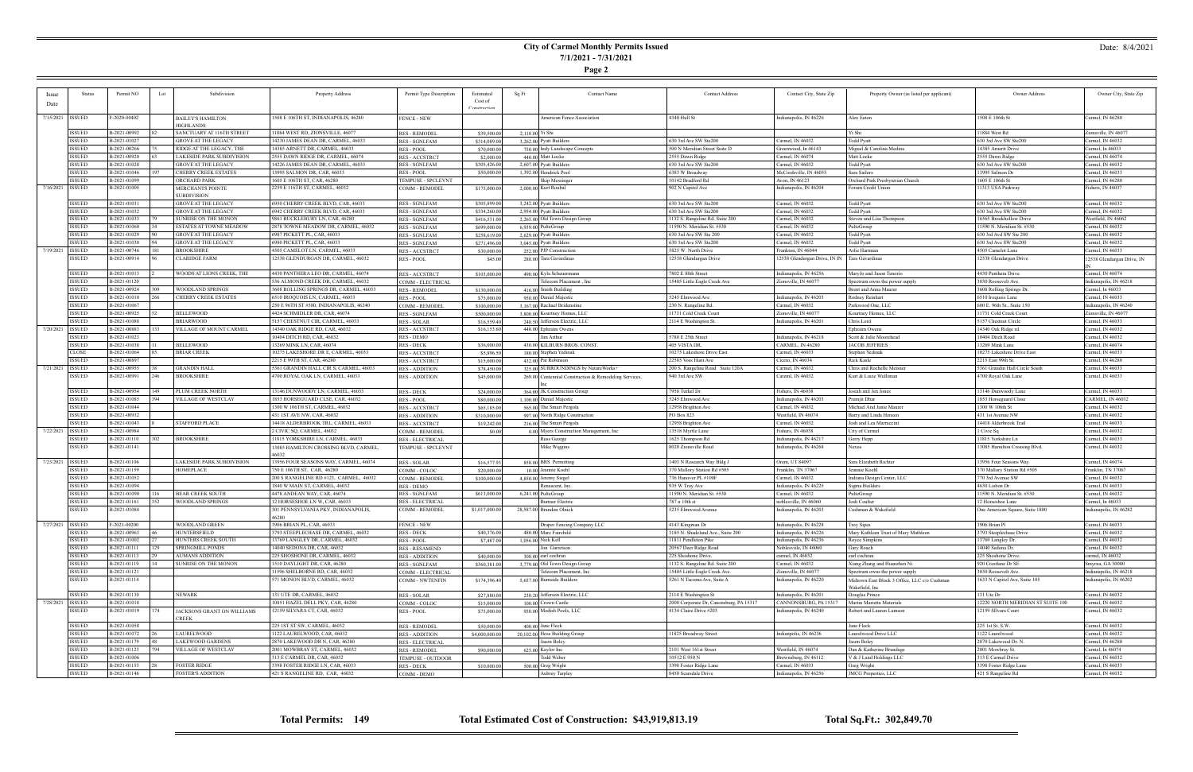# **City of Carmel Monthly Permits Issued 7/1/2021 - 7/31/2021**

**Page 2**

## Date: 8/4/2021

|                    | <b>Status</b> | Permit NO    | Lot           | Subdivision                            |                                         |                              | Estimated         |                 | <b>Contact Name</b>                                    | <b>Contact Address</b>                  |                                                 |                                              | Owner Address                     |                            |
|--------------------|---------------|--------------|---------------|----------------------------------------|-----------------------------------------|------------------------------|-------------------|-----------------|--------------------------------------------------------|-----------------------------------------|-------------------------------------------------|----------------------------------------------|-----------------------------------|----------------------------|
|                    |               |              |               |                                        | Property Address                        | Permit Type Description      | Cost of           | Sq Ft           |                                                        |                                         | Contact City, State Zip                         | Property Owner (as listed per applicant)     |                                   | Owner City, State Zip      |
| Date               |               |              |               |                                        |                                         |                              | $\cap$ netructio: |                 |                                                        |                                         |                                                 |                                              |                                   |                            |
|                    |               |              |               |                                        |                                         |                              |                   |                 |                                                        |                                         |                                                 |                                              |                                   |                            |
| 7/15/2021   ISSUED |               | F-2020-00402 |               | BAILEY'S HAMILTON                      | 508 E 106TH ST, INDIANAPOLIS, 46280     | <b>FENCE - NEW</b>           |                   |                 | American Fence Association                             | 4340 Hull St                            | Indianapolis, IN 46226                          | Alex Eaton                                   | 1508 E 106th St                   | Carmel, IN 46280           |
|                    |               |              |               | HIGHLANDS                              |                                         |                              |                   |                 |                                                        |                                         |                                                 |                                              |                                   |                            |
|                    | <b>ISSUED</b> | B-2021-00992 |               | SANCTUARY AT 116TH STREET              | 1884 WEST RD, ZIONSVILLE, 46077         | <b>RES - REMODEI</b>         | \$39,500.00       | 2,118.00 Yi Shi |                                                        |                                         |                                                 | Yi Shi                                       | 11884 West Rd                     | Zionsville, IN 46077       |
|                    | <b>ISSUED</b> | B-2021-01027 |               | <b>GROVE AT THE LEGACY</b>             | 14230 JAMES DEAN DR, CARMEL, 46033      | <b>RES - SGNLFAM</b>         | \$314,089.00      |                 | 3,262.00 Pyatt Builders                                | 630 3rd Ave SW Ste200                   | Carmel, IN 46032                                | <b>Todd Pyatt</b>                            | 630 3rd Ave SW Ste200             | Carmel, IN 46032           |
|                    | <b>ISSUED</b> | B-2021-00266 |               | RIDGE AT THE LEGACY, THE               | 14385 ARNETT DR, CARMEL, 46033          | <b>RES - POOL</b>            | \$70,000.00       |                 | 750.00 Indy Landscape Concepts                         | 500 N Meridian Street Suite D           | Greenwood, In 46143                             | Miguel & Carolina Medina                     | 14385 Arnertt Drive               | Carmel, In 46033           |
|                    | <b>ISSUED</b> | B-2021-00920 |               | LAKESIDE PARK SUBDIVISION              | 555 DAWN RIDGE DR, CARMEL, 46074        | <b>RES-ACCSTRCT</b>          | \$2,000.00        |                 | 440.00 Matt Locke                                      | 2555 Dawn Ridge                         | Carmel, IN 46074                                | Matt Locke                                   | 2555 Dawn Ridge                   | Carmel, IN 46074           |
|                    | <b>ISSUED</b> | B-2021-01028 |               | <b>GROVE AT THE LEGACY</b>             | 4226 JAMES DEAN DR, CARMEL, 46033       | <b>RES - SGNLFAM</b>         | \$305,426.00      |                 | 2,607.00 Pyatt Builders                                | 630 3rd Ave SW Ste200                   | Carmel, IN 46032                                | <b>Todd Pyatt</b>                            | 630 3rd Ave SW Ste200             | Carmel, IN 46032           |
|                    | <b>ISSUED</b> | B-2021-01046 |               | CHERRY CREEK ESTATES                   | 3995 SALMON DR, CAR, 46033              | RES - POOL                   | \$50,000.00       |                 | 1,392.00 Hendrick Pool                                 | 6383 W Broadway                         | McCordsville, IN 46055                          | Sara Sailors                                 | 13995 Salmon Dr                   | Carmel, IN 46033           |
|                    | <b>ISSUED</b> | B-2021-01099 |               | ORCHARD PARK                           | 605 E 106TH ST, CAR, 46280              | TEMPUSE - SPCLEVNT           |                   |                 | Skip Messinger                                         | 10142 Bradford Rd                       | Avon, IN 46123                                  | Orchard Park Presbyterian Church             | 1605 E 106th St                   | Carmel, IN 46280           |
| 7/16/2021   ISSUED |               | B-2021-01005 |               |                                        | 2259 E 116TH ST, CARMEL, 46032          | COMM - REMODEL               | \$175,000.00      |                 | 2,000.00 Kurt Roubal                                   | 902 N Capitol Ave                       | Indianapolis, IN 46204                          | Forum Credit Union                           | 11313 USA Parkway                 | Fishers, IN 46037          |
|                    |               |              |               | MERCHANTS POINTE<br><b>SUBDIVISION</b> |                                         |                              |                   |                 |                                                        |                                         |                                                 |                                              |                                   |                            |
|                    | <b>ISSUED</b> | B-2021-01031 |               | <b>GROVE AT THE LEGACY</b>             |                                         |                              |                   |                 |                                                        |                                         |                                                 | Todd Pyatt                                   |                                   |                            |
|                    |               |              |               |                                        | 6950 CHERRY CREEK BLVD, CAR, 46033      | <b>RES - SGNLFAM</b>         | \$305,899.00      |                 | 3,242.00 Pyatt Builders                                | 630 3rd Ave SW Ste200                   | Carmel, IN 46032                                |                                              | 630 3rd Ave SW Ste200             | Carmel, IN 46032           |
|                    | <b>ISSUED</b> | B-2021-01032 |               | <b>GROVE AT THE LEGACY</b>             | 6942 CHERRY CREEK BLVD, CAR, 46033      | <b>RES - SGNLFAM</b>         | \$334,260.00      |                 | 2,954.00 Pyatt Builders                                | 630 3rd Ave SW Ste200                   | Carmel, IN 46032                                | <b>Todd Pyatt</b>                            | 630 3rd Ave SW Ste200             | Carmel, IN 46032           |
|                    | <b>ISSUED</b> | B-2021-01033 |               | <b>SUNRISE ON THE MONON</b>            | 9861 BUCKLEBURY LN, CAR, 46280          | <b>RES - SGNLFAM</b>         | \$416,531.00      |                 | 2.265.00 Old Town Design Group                         | 1132 S. Rangeline Rd. Suite 200         | Carmel, IN 46032                                | Steven and Lisa Thompson                     | 16565 Brookhollow Drive           | Westfield, IN 46062        |
|                    | <b>ISSUED</b> | B-2021-01060 |               | ESTATES AT TOWNE MEADOW                | 2878 TOWNE MEADOW DR, CARMEL, 46032     | <b>RES - SGNLFAM</b>         | \$699,000.00      |                 | 6,939.00 PulteGroup                                    | 11590 N. Meridian St. #530              | Carmel, IN 46032                                | PulteGroup                                   | 11590 N. Meridian St. #530        | Carmel, IN 46032           |
|                    | <b>ISSUED</b> | B-2021-01029 |               | GROVE AT THE LEGACY                    | 6987 PICKETT PL, CAR, 46033             | <b>RES - SGNLFAM</b>         | \$258,619.00      |                 | 2,629.00 Pyatt Builders                                | 630 3rd Ave SW Ste 200                  | Carmel, IN 46032                                | <b>Todd Pyatt</b>                            | 630 3rd Avd SW Ste 200            | Carmel, IN 46032           |
|                    | <b>ISSUED</b> | B-2021-01030 |               | <b>GROVE AT THE LEGACY</b>             | 6980 PICKETT PL, CAR, 46033             | <b>RES - SGNLFAM</b>         | \$271,496.00      |                 | 3,045.00 Pyatt Builders                                | 630 3rd Ave SW Ste200                   | Carmel, IN 46032                                | <b>Todd Pyatt</b>                            | 630 3rd Ave SW Ste200             | Carmel, IN 46032           |
| 7/19/2021   ISSUED |               | B-2021-00746 | 181           | <b>BROOKSHIRE</b>                      | 4505 CAMELOT LN, CARMEL, 46033          | <b>RES-ACCSTRCT</b>          | \$30,000.00       |                 | 252.00 PJP Construction                                | 5825 W. North Drive                     | Frankton, IN 46044                              | Arlie Hartman                                | 4505 Camelot Lane                 | Carmel, IN 46033           |
|                    | <b>ISSUED</b> | B-2021-00914 |               | CLARIDGE FARM                          | 2538 GLENDURGAN DR, CARMEL, 46032       | RES - POOL                   | \$45.00           |                 | 288.00 Tara Gavardinas                                 | 12538 Glendurgan Drive                  | 12538 Glendurgan Drive, IN IN   Tara Gavardinas |                                              | 12538 Glendurgan Drive            | 12538 Glendurgan Drive, IN |
|                    |               |              |               |                                        |                                         |                              |                   |                 |                                                        |                                         |                                                 |                                              |                                   |                            |
|                    | <b>ISSUED</b> | B-2021-01013 |               | WOODS AT LIONS CREEK, THE              | 4430 PANTHERA LEO DR, CARMEL, 46074     | <b>RES-ACCSTRCT</b>          | \$103,000.00      |                 | 490.00 Kyla Scheuermann                                | 7802 E 88th Street                      | Indianapolis, IN 46256                          | MaryJo and Jason Tenorio                     | 4430 Panthera Drive               | Carmel, IN 46074           |
|                    | <b>ISSUED</b> | B-2021-01120 |               |                                        | 536 ALMOND CREEK DR. CARMEL, 46032      | COMM - ELECTRICAL            |                   |                 | Telecom Placement, Inc                                 | 15405 Little Eagle Creek Ave            | Zionsville, IN 46077                            | Spectrum owns the power supply               | 3030 Roosevelt Ave                | Indianapolis, IN 46218     |
|                    | <b>ISSUED</b> | B-2021-00924 |               | WOODLAND SPRINGS                       | 3608 ROLLING SPRINGS DR, CARMEL, 46033  | <b>RES - REMODEL</b>         | \$130,000.00      |                 | 416.00 Smith Building                                  |                                         |                                                 | Brent and Anna Maurer                        | 3608 Rolling Springs Dr.          | Carmel, In 46033           |
|                    | <b>ISSUED</b> | B-2021-01010 | 266           | CHERRY CREEK ESTATES                   | 6510 IROQUOIS LN, CARMEL, 46033         |                              |                   |                 |                                                        |                                         |                                                 |                                              |                                   | Carmel, IN 46033           |
|                    | <b>ISSUED</b> | B-2021-01067 |               |                                        |                                         | RES - POOL<br>COMM - REMODEI | \$75,000.00       |                 | 950.00 Daniel Majestic<br>3.167.00 Rachael Bridenstine | 5245 Elmwood Ave                        | Indianapolis, IN 46203                          | Rodney Reinhart                              | 6510 Iroquois Lane                |                            |
|                    |               |              |               |                                        | 250 E 96TH ST #580, INDIANAPOLIS, 46240 |                              | \$100,000.00      |                 |                                                        | 230 N. Rangeline Rd.                    | Carmel, IN 46032                                | Parkwood One, LLC                            | 600 E. 96th St., Suite 150        | ndianapolis, IN 46240      |
|                    | <b>ISSUED</b> | B-2021-00925 |               | <b>BELLEWOOD</b>                       | 4424 SCHMIDLER DR, CAR, 46074           | <b>RES - SGNLFAM</b>         | \$500,000.00      |                 | 3,800.00 Kourtney Homes, LLC                           | 11731 Cold Creek Court                  | Zionsville, IN 46077                            | Kourtney Homes, LLC                          | 11731 Cold Creek Court            | Zionsville, IN 46077       |
|                    | <b>ISSUED</b> | B-2021-01088 |               | BRIARWOOD                              | 5157 CHESTNUT CIR, CARMEL, 46033        | RES - SOLAR                  | \$16,559.40       |                 | 248.50 Jefferson Electric, LLC                         | 2114 E Washington St.                   | Indianapolis, IN 46201                          | Chris Lord                                   | 5157 Chestnut Circle              | Carmel, IN 46033           |
| 7/20/2021 ISSUED   |               | B-2021-00883 | 133           | VILLAGE OF MOUNT CARMEL                | 4340 OAK RIDGE RD, CAR, 46032           | <b>RES-ACCSTRCT</b>          | \$16,153.60       |                 | 448.00 Ephraim Owens                                   |                                         |                                                 | Ephraim Owens                                | 14340 Oak Ridge rd.               | Carmel, IN 46032           |
|                    | <b>ISSUED</b> | B-2021-01023 |               |                                        | 10404 DITCH RD, CAR, 46032              | <b>RES - DEMO</b>            |                   |                 | Jim Arthur                                             | 5780 E 25th Street                      | Indianapolis, IN 46218                          | Scott & Julie Moorehead                      | 10404 Ditch Road                  | Carmel, IN 46032           |
|                    | <b>ISSUED</b> | B-2021-01038 |               | <b>BELLEWOOD</b>                       | 3269 MINK LN, CAR, 46074                | <b>RES - DECK</b>            | \$36,000.00       |                 | 430.00 KILBURN BROS. CONST.                            | 405 VISTA DR.                           | CARMEL, IN 46280                                | JACOB JEFFRIES                               | 13269 Mink Lane                   | Carmel, IN 46074           |
|                    | <b>CLOSE</b>  | B-2021-01064 |               | <b>BRIAR CREEK</b>                     | 0275 LAKESHORE DR E, CARMEL, 46033      | RES - ACCSTRCT               | \$5,896.50        |                 | 180.00 Stephen Yedinak                                 | 10275 Lakeshore Drive East              | Carmel, IN 46033                                | Stephen Yedinak                              | 10275 Lakeshore Drive East        | Carmel, IN 46033           |
|                    | <b>ISSUED</b> | B-2021-00897 |               |                                        | 2215 E 99TH ST, CAR, 46280              | <b>RES - ACCSTRCT</b>        | \$15,000.00       |                 | 432.00 Pat Robinson                                    | 22585 Voss Hiatt Ave                    | Cicero, IN 46034                                | <b>Rick Kasle</b>                            | 2215 East 99th St.                | Carmel, IN 46280           |
| 7/21/2021   ISSUED |               | B-2021-00955 |               | GRANDIN HALL                           | 5361 GRANDIN HALL CIR S, CARMEL, 46033  | <b>RES - ADDITION</b>        | \$78,450.00       |                 | 325.00 SURROUNDINGS by NatureWorks+                    | 200 S. Rangeline Road Suite 120A        | Carmel, IN 46032                                | Chris and Rochelle Meisner                   | 5361 Grandin Hall Circle South    | Carmel, IN 46033           |
|                    | <b>ISSUED</b> | B-2021-00991 | 246           | BROOKSHIRE                             | 4700 ROYAL OAK LN, CARMEL, 46033        | <b>RES - ADDITION</b>        | \$45,000.00       |                 | 269.00 Centennial Construction & Remodeling Services,  | 940 3rd Ave SW                          | Careml, IN 46032                                | Kurt & Lucie Wulliman                        | 4700 Royal Oak Lane               | Carmel, IN 46033           |
|                    |               |              |               |                                        |                                         |                              |                   |                 |                                                        |                                         |                                                 |                                              |                                   |                            |
|                    | <b>ISSUED</b> | B-2021-00954 | 149           | PLUM CREEK NORTH                       | 3146 DUNWOODY LN, CARMEL, 46033         | <b>RES - DECK</b>            | \$24,000.00       |                 | 364.00 JK Construction Group                           | 7958 Turkel Dr.                         | Fishers, IN 46038                               | Josiah and Jen Jones                         | 13146 Dunwoody Lane               | Carmel, IN 46033           |
|                    | <b>ISSUED</b> | B-2021-01085 | 394           | VILLAGE OF WESTCLAY                    | 1853 HORSEGUARD CLSE, CAR, 46032        | RES - POOL                   | \$80,000.00       |                 | 1,100.00 Daniel Majestic                               | 5245 Elmwood Ave                        | Indianapolis, IN 46203                          | Premjit Dhar                                 | 1853 Horseguard Close             | CARMEL, IN 46032           |
|                    | <b>ISSUED</b> | B-2021-01044 |               |                                        |                                         |                              |                   |                 |                                                        |                                         |                                                 |                                              | 1300 W 106th St                   |                            |
|                    |               |              |               |                                        | 1300 W 106TH ST, CARMEL, 46032          | <b>RES-ACCSTRCT</b>          | \$65,185.00       |                 | 565.00 The Smart Pergola                               | 12958 Brighton Ave                      | Carmel, IN 46032                                | Michael And Janie Maurer                     |                                   | Carmel, IN 46032           |
|                    | <b>ISSUED</b> | B-2021-00932 |               |                                        | 431 1ST AVE NW, CAR, 46032              | <b>RES - ADDITION</b>        | \$310,000.00      |                 | 997.00 North Ridge Construction                        | PO Box 823                              | Westfield, IN 46074                             | Barry and Linda Hensen                       | 431 1st Avenue NW                 | Carmel, IN 46032           |
|                    | <b>ISSUED</b> | B-2021-01043 |               | <b>STAFFORD PLACE</b>                  | 14418 ALDERBROOK TRL, CARMEL, 46033     | <b>RES-ACCSTRCT</b>          | \$19,242.00       |                 | 216.00 The Smart Pergola                               | 12958 Brighton Ave                      | Carmel, IN 46032                                | Josh and Lea Marraccini                      | 14418 Alderbrook Trail            | Carmel, IN 46033           |
| 7/22/2021   ISSUED |               | B-2021-00984 |               |                                        | 2 CIVIC SQ, CARMEL, 46032               | COMM - REMODEL               | \$0.00            |                 | 0.00 Myers Construction Management, Inc.               | 13518 Myrtle Lane                       | Fishers, IN 46038                               | City of Carmel                               | 1 Civic Sq                        | Carmel, IN 46032           |
|                    | <b>ISSUED</b> | B-2021-01110 | 302           | <b>BROOKSHIRE</b>                      | 11815 YORKSHIRE LN, CARMEL, 46033       | <b>RES - ELECTRICAL</b>      |                   |                 | <b>Russ George</b>                                     | 1625 Thompson Rd                        | Indianapolis, IN 46217                          | Gerry Hepp                                   | 11815 Yorkshire Ln                | Carmel, IN 46033           |
|                    | <b>ISSUED</b> | B-2021-01141 |               |                                        | 3085 HAMILTON CROSSING BLVD, CARMEL,    | TEMPUSE - SPCLEVNT           |                   |                 | Mike Wiggins                                           | 8020 Zionsville Road                    | Indianapolis, IN 46268                          | Nexus                                        | 13085 Hamilton Crossing Blvd.     | Carmel, IN 46032           |
|                    |               |              |               |                                        | 16032                                   |                              |                   |                 |                                                        |                                         |                                                 |                                              |                                   |                            |
| 7/23/2021   ISSUED |               | B-2021-01106 |               | LAKESIDE PARK SUBDIVISION              | 13956 FOUR SEASONS WAY, CARMEL, 46074   | RES - SOLAR                  | \$16,577.93       |                 | 858.00 BRS Permitting                                  | 1403 N Research Way Bldg J              | Orem, UT 84097                                  | Sara Elizabeth Richter                       | 13956 Four Seasons Way            | Carmel, IN 46074           |
|                    | <b>ISSUED</b> | B-2021-01159 |               | HOMEPLACE                              | 750 E 106TH ST, CAR, 46280              | COMM - COLOC                 | \$20,000.00       |                 | 10.00 Jeannie Koehl                                    | 370 Mallory Station Rd #505             | Franklin, TN 37067                              | Jeannie Koehl                                | 370 Mallory Station Rd #505       | Franklin, TN 37067         |
|                    | <b>ISSUED</b> | B-2021-01052 |               |                                        | 200 S RANGELINE RD #123, CARMEL, 46032  | COMM - REMODEI               | \$100,000.00      |                 | 4,850.00 Jeremy Siegel                                 | 736 Hanover PL #100F                    | Carmel, IN 46032                                | Indiana Design Center, LLC                   | 770 3rd Avenue SW                 | Carmel, IN 46032           |
|                    | <b>ISSUED</b> | B-2021-01094 |               |                                        | 1840 W MAIN ST, CARMEL, 46032           | RES - DEMO                   |                   |                 | Renascent, Inc.                                        | 935 W Troy Ave                          | Indianapolis, IN 46225                          | Sigma Builders                               | 4630 Lisbon Dr                    | Carmel, IN 46033           |
|                    | <b>ISSUED</b> | B-2021-01090 | 116           | <b>BEAR CREEK SOUTH</b>                | 4478 ANDEAN WAY, CAR, 46074             | <b>RES - SGNLFAM</b>         | \$613,000.00      |                 | $6,241.00$ PulteGroup                                  | 11590 N. Meridian St. #530              | Carmel, IN 46032                                | PulteGroup                                   | 11590 N. Meridian St. #530        | Carmel, IN 46032           |
|                    | <b>ISSUED</b> | B-2021-01161 | 352           | <b>WOODLAND SPRINGS</b>                | 2 HORSESHOE LN W, CAR, 46033            | <b>RES - ELECTRICAL</b>      |                   |                 | Burtner Electric                                       | 787 n 10th st                           | noblesville, IN 46060                           | Josh Coulter                                 | 12 Horseshoe Lane                 | Carmel, In 46033           |
|                    | <b>ISSUED</b> | B-2021-01084 |               |                                        | 301 PENNSYLVANIA PKY, INDIANAPOLIS,     | COMM - REMODEI               | \$1,017,000.00    |                 | 28,587.00 Brandon Olnick                               | 5235 Elmwood Avenue                     | Indianapolis, IN 46203                          | Cushman & Wakefield                          | One American Square, Suite 1800   | ndianapolis, IN 46282      |
|                    |               |              |               |                                        | 46280                                   |                              |                   |                 |                                                        |                                         |                                                 |                                              |                                   |                            |
| 7/27/2021 ISSUED   |               | F-2021-00200 |               | WOODLAND GREEN                         | 3906 BRIAN PL, CAR, 46033               | <b>FENCE - NEW</b>           |                   |                 | Draper Fencing Company LLC                             | 4143 Kingman Dr                         | Indianapolis, IN 46228                          | <b>Troy Sipes</b>                            | 3906 Brian Pl                     | Carmel, IN 46033           |
|                    | <b>ISSUED</b> | B-2021-00963 |               | HUNTERSFIELD                           | 793 STEEPLECHASE DR, CARMEL, 46032      |                              | \$40,376.00       |                 | 480.00 Marc Fairchild                                  | 3185 N. Shadeland Ave., Suite 200       | Indianapolis, IN 46226                          | Mary Kathleen Trust of Mary Mathleen         | 3793 Steeplechase Drive           | Carmel, IN 46032           |
|                    |               |              |               |                                        |                                         | <b>RES - DECK</b>            |                   |                 |                                                        |                                         |                                                 |                                              |                                   |                            |
|                    | <b>ISSUED</b> | B-2021-01002 |               | HUNTERS CREEK SOUTH                    | 3769 LANGLEY DR, CARMEL, 46032          | RES - POOL                   | \$7,487.00        |                 | 1,056.00 Nick Kell                                     | 11811 Pendleton Pike                    | Indianapolis, IN 46236                          | Royce Simpkins                               | 13769 Langley Dr.                 | Carmel, IN 46032           |
|                    | <b>ISSUED</b> | B-2021-01111 | 129           | SPRINGMILL PONDS                       | 14040 SEDONA DR, CAR, 46032             | <b>RES - RESAMEND</b>        |                   |                 | Jon Garretson                                          | 20567 Deer Ridge Road                   | Noblesviile, IN 46060                           | Gary Roach                                   | 14040 Sedona Dr.                  | Carmel, IN 46032           |
|                    | <b>ISSUED</b> | B-2021-01113 |               | <b>AUMANS ADDITION</b>                 | 225 SHOSHONE DR, CARMEL, 46032          | <b>RES - ADDITION</b>        | \$40,000.00       |                 | $308,00$ earl cochran                                  | 225 Shoshone Drive.                     | carmel, IN 46032                                | earl cochran                                 | 225 Shoshone Drive.               | carmel, IN 46032           |
|                    | <b>ISSUED</b> | B-2021-01119 |               | SUNRISE ON THE MONON                   | 1510 DAYLIGHT DR, CAR, 46280            | RES - SGNLFAM                | \$560,381.00      |                 | 3,779,00 Old Town Design Group                         | 1132 S. Rangeline Rd. Suite 200         | Carmel, IN 46032                                | Xiang Zhang and Huanzhen Ni                  | 920 Crestlane Dr SE               | Smyrna, GA 30080           |
|                    | <b>ISSUED</b> | B-2021-01121 |               |                                        | 1596 SHELBORNE RD, CAR, 46032           | COMM - ELECTRICAL            |                   |                 | Felecom Placement, Inc                                 | 15405 Little Eagle Creek Ave.           | Zionsville, IN 46077                            | Spectrum owns the power supply               | 3030 Roosevelt Ave.               | ndianapolis, IN 46218      |
|                    | <b>ISSUED</b> | B-2021-01114 |               |                                        | 571 MONON BLVD, CARMEL, 46032           | COMM - NWTENFIN              | \$174,396.40      |                 | 5,657,00 Burnside Builders                             | 5261 N Tacoma Ave, Suite A              | Indianapolis, IN 46220                          | Midtown East Block 3 Office, LLC c/o Cushman | 1633 N Capitol Ave, Suite 105     | Indianapolis, IN 46202     |
|                    |               |              |               |                                        |                                         |                              |                   |                 |                                                        |                                         |                                                 | Wakefield, Inc                               |                                   |                            |
|                    | <b>ISSUED</b> | B-2021-01130 | <b>NEWARK</b> |                                        | 131 UTE DR. CARMEL, 46032               | RES - SOLAR                  | \$27,880.00       |                 | 230.20 Jefferson Electric, LLC                         | 2114 E Washington St                    | Indianapolis, IN 46201                          | Douglas Prince                               | 131 Ute Dr                        | Carmel, IN 46032           |
| 7/28/2021 ISSUED   |               | B-2021-01018 |               |                                        | 0851 HAZEL DELL PKY, CAR, 46280         | COMM - COLOC                 | \$15,000.00       |                 | 100.00 Crown Castle                                    | 2000 Corporate Dr, Canonsburg, PA 15317 | CANNONSBURG, PA 1531                            | Martin Marietta Materials                    | 12220 NORTH MERIDIAN ST SUITE 100 | Carmel, IN 46032           |
|                    | <b>ISSUED</b> | B-2021-01019 | 174           | JACKSONS GRANT ON WILLIAMS             | 2159 SILVARA CT, CAR, 46032             | RES - POOL                   | \$75,000.00       |                 | 950.00 Modish Pools, LLC                               | 4134 Claire Drive #203                  | Indianapolis, IN 46240                          | Robert and Lauren Lamson                     | 12159 SIlvara Court               | Carmel, IN 46032           |
|                    |               |              | <b>CREEK</b>  |                                        |                                         |                              |                   |                 |                                                        |                                         |                                                 |                                              |                                   |                            |
|                    | <b>ISSUED</b> | B-2021-01058 |               |                                        | 225 1ST ST SW, CARMEL, 46032            | <b>RES - REMODEL</b>         | \$50,000.00       |                 | $400.00$ Jane Fleck                                    |                                         |                                                 | Jane Fleck                                   | 225 1st St. S.W.                  | Carmel, IN 46032           |
|                    | <b>ISSUED</b> | B-2021-01072 |               | LAURELWOOD                             | 122 LAURELWOOD, CAR, 46032              | <b>RES - ADDITION</b>        | \$4,000,000.00    |                 | 20,102.00 Hoss Building Group                          | 11825 Broadway Street                   | Indianpolis, IN 46236                           | Laurelwood Drive LLC                         | 1122 Laurelwood                   | Carmel, IN 46032           |
|                    | <b>ISSUED</b> | B-2021-01179 |               | <b>LAKEWOOD GARDENS</b>                |                                         |                              |                   |                 |                                                        |                                         |                                                 | Jason Boley                                  |                                   |                            |
|                    |               |              |               |                                        | 2870 LAKEWOOD DR N, CAR, 46280          | <b>RES - ELECTRICAL</b>      |                   |                 | Jason Boley                                            |                                         |                                                 |                                              | 2870 Lakewood Dr. N.              | Carmel, IN 46280           |
|                    | <b>ISSUED</b> | B-2021-01123 | 794           | <b>VILLAGE OF WESTCLAY</b>             | 2001 MOWBRAY ST, CARMEL, 46032          | <b>RES - REMODEL</b>         | \$90,000.00       |                 | 625.00 Kaylor Inc                                      | 2101 West 161st Street                  | Westfield, IN 46074                             | Dan & Katherine Brundage                     | 2001 Mowbray St.                  | Carmel, In 46074           |
|                    | <b>ISSUED</b> | B-2021-01006 |               |                                        | 313 E CARMEL DR, CAR, 46032             | TEMPUSE - OUTDOOR            |                   |                 | Todd Weber                                             | 10512 E 950 N                           | Brownsburg, IN 46112                            | V & J Land Holdings LLC                      | 313 E Carmel Drive                | Carmel, IN 46032           |
|                    | <b>ISSUED</b> | B-2021-01153 |               | <b>FOSTER RIDGE</b>                    | 398 FOSTER RIDGE LN, CAR, 46033         | RES - DECK                   | \$10,000.00       |                 | 500.00 Greg Wright                                     | 3398 Foster Ridge Lane                  | Carmel, IN 46033                                | Greg Wright                                  | 3398 Foster Ridge Lane            | Carmel, IN 46033           |
|                    | <b>ISSUED</b> | B-2021-01146 |               | <b>FOSTER'S ADDITION</b>               | 421 S RANGELINE RD, CAR, 46032          | COMM - DEMO                  |                   |                 | Aubrey Tarpley                                         | 8450 Scarsdale Drive                    | Indianapolis, IN 46256                          | JMCG Properties, LLC                         | 421 S Rangeline Rd                | Carmel, IN 46032           |

÷

**Total Permits: 149 Total Estimated Cost of Construction: \$43,919,813.19 Total Sq.Ft.: 302,849.70**